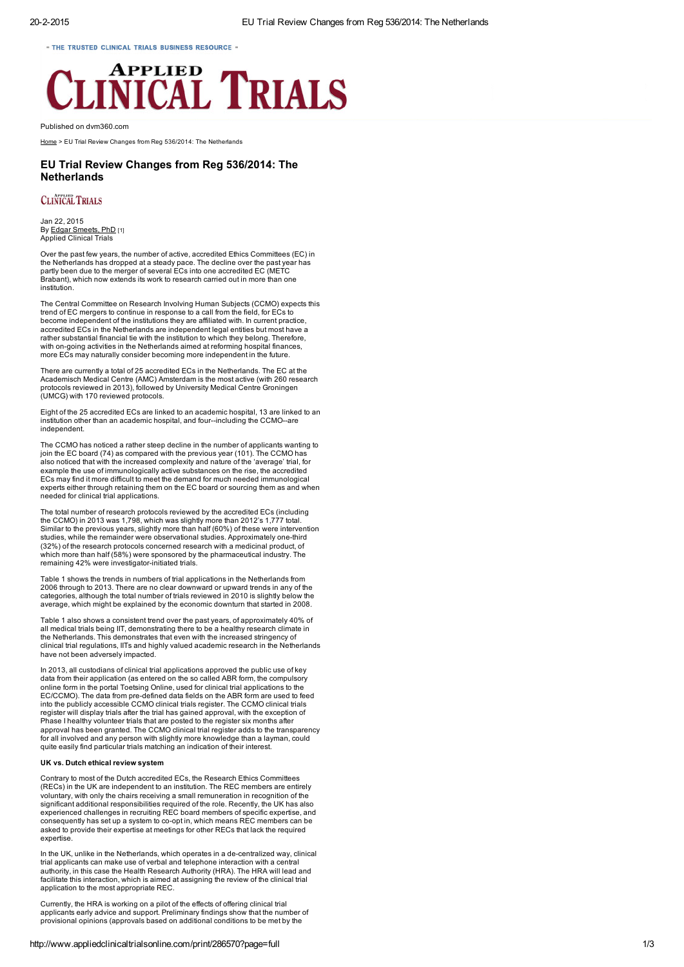- THE TRUSTED CLINICAL TRIALS BUSINESS RESOURCE -

# **APPLIED ICAL TRIALS**

Published on dvm360.com

[Home](http://www.appliedclinicaltrialsonline.com/) > EU Trial Review Changes from Reg 536/2014: The Netherlands

# EU Trial Review Changes from Reg 536/2014: The **Netherlands**

## **CLINICAL TRIALS**

Jan 22, 2015 By Edgar [Smeets,](http://www.appliedclinicaltrialsonline.com/edgar-smeets-phd) PhD [1] Applied Clinical Trials

Over the past few years, the number of active, accredited Ethics Committees (EC) in the Netherlands has dropped at a steady pace. The decline over the past year has partly been due to the merger of several ECs into one accredited EC (METC Brabant), which now extends its work to research carried out in more than one institution.

The Central Committee on Research Involving Human Subjects (CCMO) expects this trend of EC mergers to continue in response to a call from the field, for ECs to become independent of the institutions they are affiliated with. In current practice, accredited ECs in the Netherlands are independent legal entities but most have a rather substantial financial tie with the institution to which they belong. Therefore, with on-going activities in the Netherlands aimed at reforming hospital finances, more ECs may naturally consider becoming more independent in the future.

There are currently a total of 25 accredited ECs in the Netherlands. The EC at the Academisch Medical Centre (AMC) Amsterdam is the most active (with 260 research protocols reviewed in 2013), followed by University Medical Centre Groningen (UMCG) with 170 reviewed protocols.

Eight of the 25 accredited ECs are linked to an academic hospital, 13 are linked to an institution other than an academic hospital, and four--including the CCMO--are independent.

The CCMO has noticed a rather steep decline in the number of applicants wanting to join the EC board (74) as compared with the previous year (101). The CCMO has also noticed that with the increased complexity and nature of the 'average' trial, for example the use of immunologically active substances on the rise, the accredited ECs may find it more difficult to meet the demand for much needed immunological experts either through retaining them on the EC board or sourcing them as and when needed for clinical trial applications.

The total number of research protocols reviewed by the accredited ECs (including the CCMO) in 2013 was 1,798, which was slightly more than 2012's 1,777 total. Similar to the previous years, slightly more than half (60%) of these were intervention studies, while the remainder were observational studies. Approximately one-third (32%) of the research protocols concerned research with a medicinal product, of which more than half (58%) were sponsored by the pharmaceutical industry. The remaining 42% were investigator-initiated trials.

Table 1 shows the trends in numbers of trial applications in the Netherlands from 2006 through to 2013. There are no clear downward or upward trends in any of the categories, although the total number of trials reviewed in 2010 is slightly below the average, which might be explained by the economic downturn that started in 2008.

Table 1 also shows a consistent trend over the past years, of approximately 40% of all medical trials being IIT, demonstrating there to be a healthy research climate in the Netherlands. This demonstrates that even with the increased stringency of clinical trial regulations, IITs and highly valued academic research in the Netherlands have not been adversely impacted.

In 2013, all custodians of clinical trial applications approved the public use of key data from their application (as entered on the so called ABR form, the compulsory online form in the portal Toetsing Online, used for clinical trial applications to the EC/CCMO). The data from pre-defined data fields on the ABR form are used to feed into the publicly accessible CCMO clinical trials register. The CCMO clinical trials<br>register will display trials after the trial has gained approval, with the exception of<br>Phase I healthy volunteer trials that are posted for all involved and any person with slightly more knowledge than a layman, could quite easily find particular trials matching an indication of their interest.

### UK vs. Dutch ethical review system

Contrary to most of the Dutch accredited ECs, the Research Ethics Committees (RECs) in the UK are independent to an institution. The REC members are entirely voluntary, with only the chairs receiving a small remuneration in recognition of the significant additional responsibilities required of the role. Recently, the UK has also experienced challenges in recruiting REC board members of specific expertise, and consequently has set up a system to co-opt in, which means REC members can be asked to provide their expertise at meetings for other RECs that lack the required expertise

In the UK, unlike in the Netherlands, which operates in a de-centralized way, clinical trial applicants can make use of verbal and telephone interaction with a central authority, in this case the Health Research Authority (HRA). The HRA will lead and facilitate this interaction, which is aimed at assigning the review of the clinical trial application to the most appropriate REC.

Currently, the HRA is working on a pilot of the effects of offering clinical trial applicants early advice and support. Preliminary findings show that the number of provisional opinions (approvals based on additional conditions to be met by the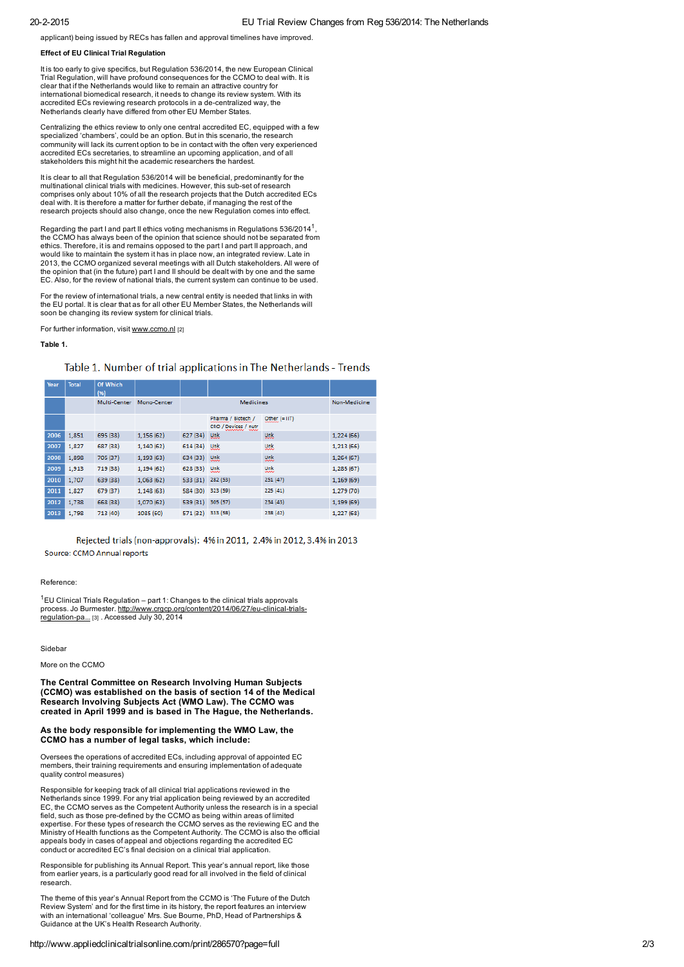applicant) being issued by RECs has fallen and approval timelines have improved.

#### Effect of EU Clinical Trial Regulation

It is too early to give specifics, but Regulation 536/2014, the new European Clinical Trial Regulation, will have profound consequences for the CCMO to deal with. It is clear that if the Netherlands would like to remain an attractive country for international biomedical research, it needs to change its review system. With its accredited ECs reviewing research protocols in a de-centralized way, the Netherlands clearly have differed from other EU Member States.

Centralizing the ethics review to only one central accredited EC, equipped with a few specialized 'chambers', could be an option. But in this scenario, the research community will lack its current option to be in contact with the often very experienced accredited ECs secretaries, to streamline an upcoming application, and of all stakeholders this might hit the academic researchers the hardest.

It is clear to all that Regulation 536/2014 will be beneficial, predominantly for the multinational clinical trials with medicines. However, this sub-set of research<br>comprises only about 10% of all the research projects that the Dutch accredited ECs deal with. It is therefore a matter for further debate, if managing the rest of the research projects should also change, once the new Regulation comes into effect.

Regarding the part I and part II ethics voting mechanisms in Regulations 536/2014<sup>1</sup>, the CCMO has always been of the opinion that science should not be separated from ethics. Therefore, it is and remains opposed to the part I and part II approach, and would like to maintain the system it has in place now, an integrated review. Late in 2013, the CCMO organized several meetings with all Dutch stakeholders. All were of the opinion that (in the future) part I and II should be dealt with by one and the same EC. Also, for the review of national trials, the current system can continue to be used.

For the review of international trials, a new central entity is needed that links in with the EU portal. It is clear that as for all other EU Member States, the Netherlands will soon be changing its review system for clinical trials.

For further information, visit [www.ccmo.nl](http://www.ccmo.nl/) [2]

#### Table 1.

# Table 1. Number of trial applications in The Netherlands - Trends

| Year | <b>Total</b> | Of Which<br>(96) |             |                  |                                            |                 |            |
|------|--------------|------------------|-------------|------------------|--------------------------------------------|-----------------|------------|
|      |              | Multi-Center     | Mono-Center | <b>Medicines</b> |                                            | Non-Medicine    |            |
|      |              |                  |             |                  | Pharma / Biotech /<br>CRO / Devices / nutr | $Other (= 117)$ |            |
| 2006 | 1,851        | 695 (38)         | 1,156 (62)  | 627 (34)         | <b>Unk</b>                                 | <b>Unk</b>      | 1,224(66)  |
| 2007 | 1,827        | 687 (38)         | 1,140(62)   | 614 (34)         | <b>Unk</b>                                 | <b>Unk</b>      | 1,213(66)  |
| 2008 | 1,898        | 705 (37)         | 1,193(63)   | 634 (33)         | <b>Unk</b>                                 | <b>Unk</b>      | 1,264(67)  |
| 2009 | 1,913        | 719 (38)         | 1,194 (62)  | 628 (33)         | <b>unk</b>                                 | unk             | 1,285(67)  |
| 2010 | 1,707        | 639 (38)         | 1,063(62)   | 533 (31)         | 282 (53)                                   | 251(47)         | 1,169(69)  |
| 2011 | 1,827        | 679 (37)         | 1,148(63)   | 584 (30)         | 323 (59)                                   | 225(41)         | 1,279 (70) |
| 2012 | 1,738        | 668 (38)         | 1,070 (62)  | 539 (31)         | 305 (57)                                   | 234(43)         | 1,199(69)  |
| 2013 | 1.798        | 713 (40)         | 1085 (60)   | 571 (32)         | 333 (58)                                   | 238 (42)        | 1,227 (68) |

Rejected trials (non-approvals): 4% in 2011, 2.4% in 2012, 3.4% in 2013 Source: CCMO Annual reports

#### Reference:

 $1$ EU Clinical Trials Regulation – part 1: Changes to the clinical trials approvals process. Jo Burmester. http://www.crgcp.org/content/2014/06/27/eu-clinical-trialsregulation-pa... [3] . Accessed July 30, 2014

Sidebar

More on the CCMO

The Central Committee on Research Involving Human Subjects (CCMO) was established on the basis of section 14 of the Medical Research Involving Subjects Act (WMO Law). The CCMO was created in April 1999 and is based in The Hague, the Netherlands.

### As the body responsible for implementing the WMO Law, the CCMO has a number of legal tasks, which include:

Oversees the operations of accredited ECs, including approval of appointed EC members, their training requirements and ensuring implementation of adequate quality control measures)

Responsible for keeping track of all clinical trial applications reviewed in the Netherlands since 1999. For any trial application being reviewed by an accredited EC, the CCMO serves as the Competent Authority unless the research is in a special<br>field, such as those pre-defined by the CCMO as being within areas of limited expertise. For these types of research the CCMO serves as the reviewing EC and the Ministry of Health functions as the Competent Authority. The CCMO is also the official appeals body in cases of appeal and objections regarding the accredited EC conduct or accredited EC's final decision on a clinical trial application.

Responsible for publishing its Annual Report. This year's annual report, like those from earlier years, is a particularly good read for all involved in the field of clinical research.

The theme of this year's Annual Report from the CCMO is 'The Future of the Dutch Review System' and for the first time in its history, the report features an interview with an international 'colleague' Mrs. Sue Bourne, PhD, Head of Partnerships & Guidance at the UK's Health Research Authority.